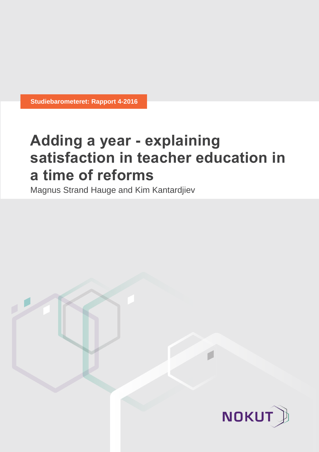**Studiebarometeret: Rapport 4-2016**

# **Adding a year - explaining satisfaction in teacher education in a time of reforms**

Magnus Strand Hauge and Kim Kantardjiev

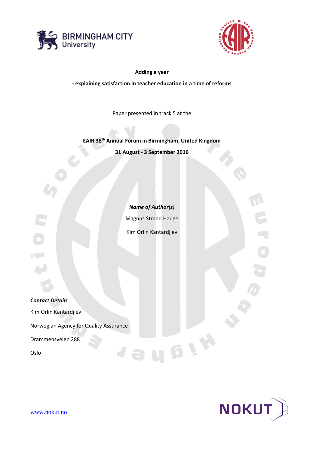



**Adding a year**

**- explaining satisfaction in teacher education in a time of reforms**

Paper presented in track 5 at the

**EAIR 38th Annual Forum in Birmingham, United Kingdom**

**31 August - 3 September 2016**

*Name of Author(s)* Magnus Strand Hauge Kim Orlin Kantardjiev

UBIH

*Contact Details* Kim Orlin Kantardjiev Norwegian Agency for Quality Assurance Drammensveien 288 N **P** Oslo



[www.nokut.no](http://www.nokut.no/)

AT L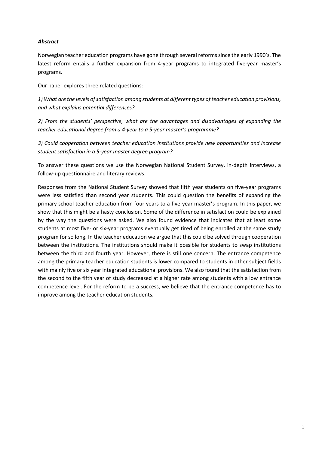# *Abstract*

Norwegian teacher education programs have gone through several reforms since the early 1990's. The latest reform entails a further expansion from 4-year programs to integrated five-year master's programs.

Our paper explores three related questions:

*1) What are the levels of satisfaction among students at different types of teacher education provisions, and what explains potential differences?*

*2) From the students' perspective, what are the advantages and disadvantages of expanding the teacher educational degree from a 4-year to a 5-year master's programme?*

*3) Could cooperation between teacher education institutions provide new opportunities and increase student satisfaction in a 5-year master degree program?*

To answer these questions we use the Norwegian National Student Survey, in-depth interviews, a follow-up questionnaire and literary reviews.

Responses from the National Student Survey showed that fifth year students on five-year programs were less satisfied than second year students. This could question the benefits of expanding the primary school teacher education from four years to a five-year master's program. In this paper, we show that this might be a hasty conclusion. Some of the difference in satisfaction could be explained by the way the questions were asked. We also found evidence that indicates that at least some students at most five- or six-year programs eventually get tired of being enrolled at the same study program for so long. In the teacher education we argue that this could be solved through cooperation between the institutions. The institutions should make it possible for students to swap institutions between the third and fourth year. However, there is still one concern. The entrance competence among the primary teacher education students is lower compared to students in other subject fields with mainly five or six year integrated educational provisions. We also found that the satisfaction from the second to the fifth year of study decreased at a higher rate among students with a low entrance competence level. For the reform to be a success, we believe that the entrance competence has to improve among the teacher education students.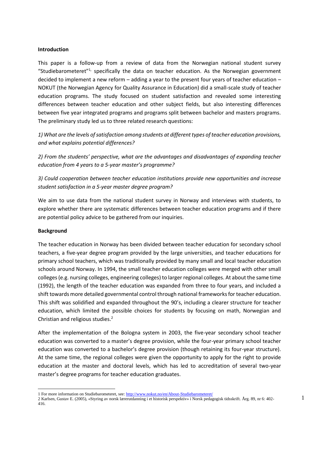#### **Introduction**

This paper is a follow-up from a review of data from the Norwegian national student survey "Studiebarometeret"<sup>1,</sup> specifically the data on teacher education. As the Norwegian government decided to implement a new reform – adding a year to the present four years of teacher education – NOKUT (the Norwegian Agency for Quality Assurance in Education) did a small-scale study of teacher education programs. The study focused on student satisfaction and revealed some interesting differences between teacher education and other subject fields, but also interesting differences between five year integrated programs and programs split between bachelor and masters programs. The preliminary study led us to three related research questions:

*1) What are the levels of satisfaction among students at different types of teacher education provisions, and what explains potential differences?*

*2) From the students' perspective, what are the advantages and disadvantages of expanding teacher education from 4 years to a 5-year master's programme?*

*3) Could cooperation between teacher education institutions provide new opportunities and increase student satisfaction in a 5-year master degree program?*

We aim to use data from the national student survey in Norway and interviews with students, to explore whether there are systematic differences between teacher education programs and if there are potential policy advice to be gathered from our inquiries.

#### **Background**

l

The teacher education in Norway has been divided between teacher education for secondary school teachers, a five-year degree program provided by the large universities, and teacher educations for primary school teachers, which was traditionally provided by many small and local teacher education schools around Norway. In 1994, the small teacher education colleges were merged with other small colleges (e.g. nursing colleges, engineering colleges) to larger regional colleges. At about the same time (1992), the length of the teacher education was expanded from three to four years, and included a shift towards more detailed governmental control through national frameworks for teacher education. This shift was solidified and expanded throughout the 90's, including a clearer structure for teacher education, which limited the possible choices for students by focusing on math, Norwegian and Christian and religious studies.<sup>2</sup>

After the implementation of the Bologna system in 2003, the five-year secondary school teacher education was converted to a master's degree provision, while the four-year primary school teacher education was converted to a bachelor's degree provision (though retaining its four-year structure). At the same time, the regional colleges were given the opportunity to apply for the right to provide education at the master and doctoral levels, which has led to accreditation of several two-year master's degree programs for teacher education graduates.

<sup>1</sup> For more information on Studiebarometeret, see[: http://www.nokut.no/en/About-Studiebarometeret/](http://www.nokut.no/en/About-Studiebarometeret/)

<sup>2</sup> Karlsen, Gustav E. (2005), «Styring av norsk lærerutdanning i et historisk perspektiv» i Norsk pedagogisk tidsskrift. Årg. 89, nr 6: 402- 416.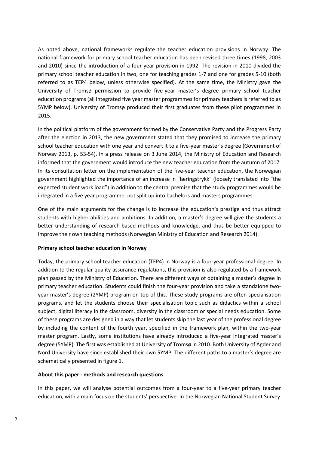As noted above, national frameworks regulate the teacher education provisions in Norway. The national framework for primary school teacher education has been revised three times (1998, 2003 and 2010) since the introduction of a four-year provision in 1992. The revision in 2010 divided the primary school teacher education in two, one for teaching grades 1-7 and one for grades 5-10 (both referred to as TEP4 below, unless otherwise specified). At the same time, the Ministry gave the University of Tromsø permission to provide five-year master's degree primary school teacher education programs (all integrated five year master programmes for primary teachers is referred to as 5YMP below). University of Tromsø produced their first graduates from these pilot programmes in 2015.

In the political platform of the government formed by the Conservative Party and the Progress Party after the election in 2013, the new government stated that they promised to increase the primary school teacher education with one year and convert it to a five-year master's degree (Government of Norway 2013, p. 53-54). In a press release on 3 June 2014, the Ministry of Education and Research informed that the government would introduce the new teacher education from the autumn of 2017. In its consultation letter on the implementation of the five-year teacher education, the Norwegian government highlighted the importance of an increase in "læringstrykk" (loosely translated into "the expected student work load") in addition to the central premise that the study programmes would be integrated in a five year programme, not split up into bachelors and masters programmes.

One of the main arguments for the change is to increase the education's prestige and thus attract students with higher abilities and ambitions. In addition, a master's degree will give the students a better understanding of research-based methods and knowledge, and thus be better equipped to improve their own teaching methods (Norwegian Ministry of Education and Research 2014).

# **Primary school teacher education in Norway**

Today, the primary school teacher education (TEP4) in Norway is a four-year professional degree. In addition to the regular quality assurance regulations, this provision is also regulated by a framework plan passed by the Ministry of Education. There are different ways of obtaining a master's degree in primary teacher education. Students could finish the four-year provision and take a standalone twoyear master's degree (2YMP) program on top of this. These study programs are often specialisation programs, and let the students choose their specialisation topic such as didactics within a school subject, digital literacy in the classroom, diversity in the classroom or special needs education. Some of these programs are designed in a way that let students skip the last year of the professional degree by including the content of the fourth year, specified in the framework plan, within the two-year master program. Lastly, some institutions have already introduced a five-year integrated master's degree (5YMP). The first was established at University of Tromsø in 2010. Both University of Agder and Nord University have since established their own 5YMP. The different paths to a master's degree are schematically presented in figure 1.

# **About this paper - methods and research questions**

In this paper, we will analyse potential outcomes from a four-year to a five-year primary teacher education, with a main focus on the students' perspective. In the Norwegian National Student Survey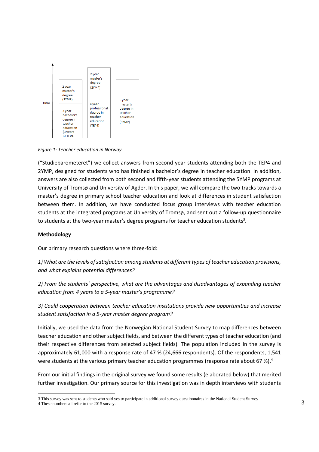

*Figure 1: Teacher education in Norway*

("Studiebarometeret") we collect answers from second-year students attending both the TEP4 and 2YMP, designed for students who has finished a bachelor's degree in teacher education. In addition, answers are also collected from both second and fifth-year students attending the 5YMP programs at University of Tromsø and University of Agder. In this paper, we will compare the two tracks towards a master's degree in primary school teacher education and look at differences in student satisfaction between them. In addition, we have conducted focus group interviews with teacher education students at the integrated programs at University of Tromsø, and sent out a follow-up questionnaire to students at the two-year master's degree programs for teacher education students<sup>3</sup>.

#### **Methodology**

Our primary research questions where three-fold:

*1) What are the levels of satisfaction among students at different types of teacher education provisions, and what explains potential differences?*

*2) From the students' perspective, what are the advantages and disadvantages of expanding teacher education from 4 years to a 5-year master's programme?*

*3) Could cooperation between teacher education institutions provide new opportunities and increase student satisfaction in a 5-year master degree program?*

Initially, we used the data from the Norwegian National Student Survey to map differences between teacher education and other subject fields, and between the different types of teacher education (and their respective differences from selected subject fields). The population included in the survey is approximately 61,000 with a response rate of 47 % (24,666 respondents). Of the respondents, 1,541 were students at the various primary teacher education programmes (response rate about 67 %).<sup>4</sup>

From our initial findings in the original survey we found some results (elaborated below) that merited further investigation. Our primary source for this investigation was in depth interviews with students

<sup>3</sup> This survey was sent to students who said yes to participate in additional survey questionnaires in the National Student Survey

<sup>4</sup> These numbers all refer to the 2015 survey.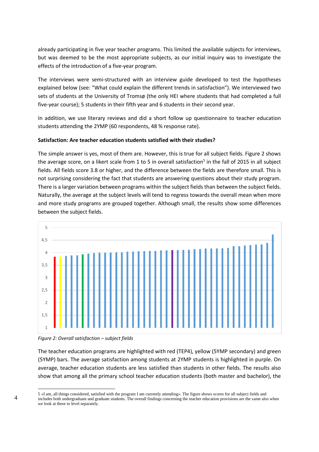already participating in five year teacher programs. This limited the available subjects for interviews, but was deemed to be the most appropriate subjects, as our initial inquiry was to investigate the effects of the introduction of a five-year program.

The interviews were semi-structured with an interview guide developed to test the hypotheses explained below (see: "What could explain the different trends in satisfaction"). We interviewed two sets of students at the University of Tromsø (the only HEI where students that had completed a full five-year course); 5 students in their fifth year and 6 students in their second year.

In addition, we use literary reviews and did a short follow up questionnaire to teacher education students attending the 2YMP (60 respondents, 48 % response rate).

# **Satisfaction: Are teacher education students satisfied with their studies?**

The simple answer is yes, most of them are. However, this is true for all subject fields. Figure 2 shows the average score, on a likert scale from 1 to 5 in overall satisfaction<sup>5</sup> in the fall of 2015 in all subject fields. All fields score 3.8 or higher, and the difference between the fields are therefore small. This is not surprising considering the fact that students are answering questions about their study program. There is a larger variation between programs within the subject fields than between the subject fields. Naturally, the average at the subject levels will tend to regress towards the overall mean when more and more study programs are grouped together. Although small, the results show some differences between the subject fields.





The teacher education programs are highlighted with red (TEP4), yellow (5YMP secondary) and green (5YMP) bars. The average satisfaction among students at 2YMP students is highlighted in purple. On average, teacher education students are less satisfied than students in other fields. The results also show that among all the primary school teacher education students (both master and bachelor), the

l 5 «I am, all things considered, satisfied with the program I am currently attending». The figure shows scores for all subject fields and includes both undergraduate and graduate students. The overall findings concerning the teacher education provisions are the same also when we look at these to level separately.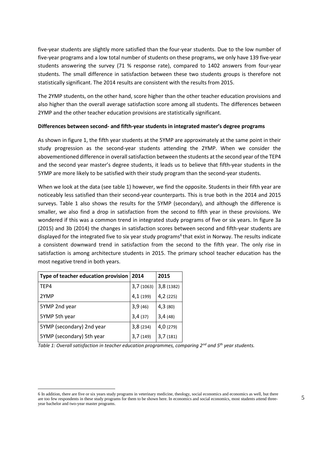five-year students are slightly more satisfied than the four-year students. Due to the low number of five-year programs and a low total number of students on these programs, we only have 139 five-year students answering the survey (71 % response rate), compared to 1402 answers from four-year students. The small difference in satisfaction between these two students groups is therefore not statistically significant. The 2014 results are consistent with the results from 2015.

The 2YMP students, on the other hand, score higher than the other teacher education provisions and also higher than the overall average satisfaction score among all students. The differences between 2YMP and the other teacher education provisions are statistically significant.

# **Differences between second- and fifth-year students in integrated master's degree programs**

As shown in figure 1, the fifth year students at the 5YMP are approximately at the same point in their study progression as the second-year students attending the 2YMP. When we consider the abovementioned difference in overall satisfaction between the students at the second year of the TEP4 and the second year master's degree students, it leads us to believe that fifth-year students in the 5YMP are more likely to be satisfied with their study program than the second-year students.

When we look at the data (see table 1) however, we find the opposite. Students in their fifth year are noticeably less satisfied than their second-year counterparts. This is true both in the 2014 and 2015 surveys. Table 1 also shows the results for the 5YMP (secondary), and although the difference is smaller, we also find a drop in satisfaction from the second to fifth year in these provisions. We wondered if this was a common trend in integrated study programs of five or six years. In figure 3a (2015) and 3b (2014) the changes in satisfaction scores between second and fifth-year students are displayed for the integrated five to six year study programs<sup>6</sup> that exist in Norway. The results indicate a consistent downward trend in satisfaction from the second to the fifth year. The only rise in satisfaction is among architecture students in 2015. The primary school teacher education has the most negative trend in both years.

| Type of teacher education provision | 2014      | 2015      |
|-------------------------------------|-----------|-----------|
| TEP4                                | 3,7(1063) | 3,8(1382) |
| 2YMP                                | 4,1 (199) | 4,2(225)  |
| 5YMP 2nd year                       | 3,9(46)   | 4,3(80)   |
| 5YMP 5th year                       | 3,4(37)   | 3,4(48)   |
| 5YMP (secondary) 2nd year           | 3,8(234)  | 4,0(279)  |
| 5YMP (secondary) 5th year           | 3,7(149)  | 3,7(181)  |

*Table 1: Overall satisfaction in teacher education programmes, comparing 2nd and 5th year students.*

l 6 In addition, there are five or six years study programs in veterinary medicine, theology, social economics and economics as well, but there are too few respondents in these study programs for them to be shown here. In economics and social economics, most students attend threeyear bachelor and two-year master programs.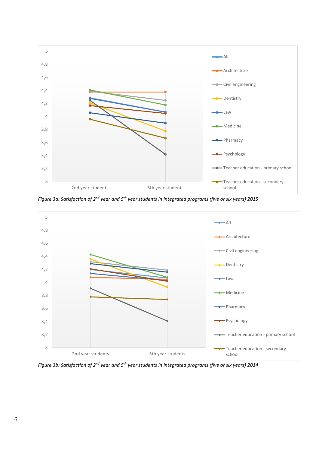

*Figure 3a: Satisfaction of 2nd year and 5th year students in integrated programs (five or six years) 2015*



*Figure 3b: Satisfaction of 2nd year and 5th year students in integrated programs (five or six years) 2014*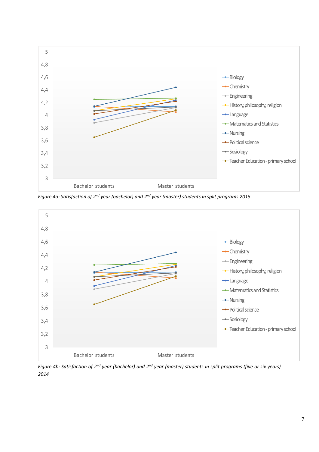

*Figure 4a: Satisfaction of 2nd year (bachelor) and 2nd year (master) students in split programs 2015*



*Figure 4b: Satisfaction of 2nd year (bachelor) and 2nd year (master) students in split programs (five or six years) 2014*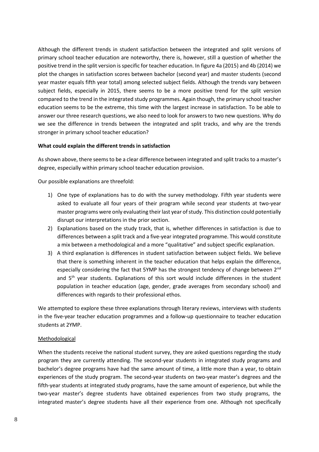Although the different trends in student satisfaction between the integrated and split versions of primary school teacher education are noteworthy, there is, however, still a question of whether the positive trend in the split version is specific for teacher education. In figure 4a (2015) and 4b (2014) we plot the changes in satisfaction scores between bachelor (second year) and master students (second year master equals fifth year total) among selected subject fields. Although the trends vary between subject fields, especially in 2015, there seems to be a more positive trend for the split version compared to the trend in the integrated study programmes. Again though, the primary school teacher education seems to be the extreme, this time with the largest increase in satisfaction. To be able to answer our three research questions, we also need to look for answers to two new questions. Why do we see the difference in trends between the integrated and split tracks, and why are the trends stronger in primary school teacher education?

# **What could explain the different trends in satisfaction**

As shown above, there seems to be a clear difference between integrated and split tracks to a master's degree, especially within primary school teacher education provision.

Our possible explanations are threefold:

- 1) One type of explanations has to do with the survey methodology. Fifth year students were asked to evaluate all four years of their program while second year students at two-year master programs were only evaluating their last year of study. This distinction could potentially disrupt our interpretations in the prior section.
- 2) Explanations based on the study track, that is, whether differences in satisfaction is due to differences between a split track and a five-year integrated programme. This would constitute a mix between a methodological and a more "qualitative" and subject specific explanation.
- 3) A third explanation is differences in student satisfaction between subject fields. We believe that there is something inherent in the teacher education that helps explain the difference, especially considering the fact that 5YMP has the strongest tendency of change between 2<sup>nd</sup> and 5<sup>th</sup> year students. Explanations of this sort would include differences in the student population in teacher education (age, gender, grade averages from secondary school) and differences with regards to their professional ethos.

We attempted to explore these three explanations through literary reviews, interviews with students in the five-year teacher education programmes and a follow-up questionnaire to teacher education students at 2YMP.

# Methodological

When the students receive the national student survey, they are asked questions regarding the study program they are currently attending. The second-year students in integrated study programs and bachelor's degree programs have had the same amount of time, a little more than a year, to obtain experiences of the study program. The second-year students on two-year master's degrees and the fifth-year students at integrated study programs, have the same amount of experience, but while the two-year master's degree students have obtained experiences from two study programs, the integrated master's degree students have all their experience from one. Although not specifically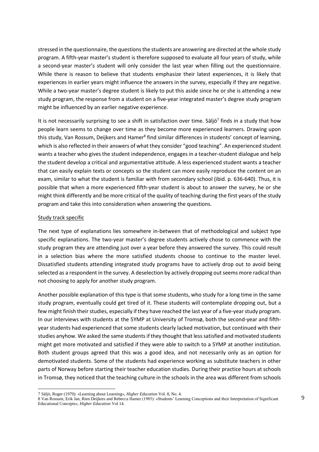stressed in the questionnaire, the questions the students are answering are directed at the whole study program. A fifth-year master's student is therefore supposed to evaluate all four years of study, while a second-year master's student will only consider the last year when filling out the questionnaire. While there is reason to believe that students emphasize their latest experiences, it is likely that experiences in earlier years might influence the answers in the survey, especially if they are negative. While a two-year master's degree student is likely to put this aside since he or she is attending a new study program, the response from a student on a five-year integrated master's degree study program might be influenced by an earlier negative experience.

It is not necessarily surprising to see a shift in satisfaction over time. Säljö<sup>7</sup> finds in a study that how people learn seems to change over time as they become more experienced learners. Drawing upon this study, Van Rossum, Deijkers and Hamer<sup>8</sup> find similar differences in students' concept of learning, which is also reflected in their answers of what they consider "good teaching". An experienced student wants a teacher who gives the student independence, engages in a teacher-student dialogue and help the student develop a critical and argumentative attitude. A less experienced student wants a teacher that can easily explain texts or concepts so the student can more easily reproduce the content on an exam, similar to what the student is familiar with from secondary school (ibid. p. 636-640). Thus, it is possible that when a more experienced fifth-year student is about to answer the survey, he or she might think differently and be more critical of the quality of teaching during the first years of the study program and take this into consideration when answering the questions.

# Study track specific

The next type of explanations lies somewhere in-between that of methodological and subject type specific explanations. The two-year master's degree students actively chose to commence with the study program they are attending just over a year before they answered the survey. This could result in a selection bias where the more satisfied students choose to continue to the master level. Dissatisfied students attending integrated study programs have to actively drop out to avoid being selected as a respondent in the survey. A deselection by actively dropping out seems more radical than not choosing to apply for another study program.

Another possible explanation of this type is that some students, who study for a long time in the same study program, eventually could get tired of it. These students will contemplate dropping out, but a few might finish their studies, especially if they have reached the last year of a five-year study program. In our interviews with students at the 5YMP at University of Tromsø, both the second-year and fifthyear students had experienced that some students clearly lacked motivation, but continued with their studies anyhow. We asked the same students if they thought that less satisfied and motivated students might get more motivated and satisfied if they were able to switch to a 5YMP at another institution. Both student groups agreed that this was a good idea, and not necessarily only as an option for demotivated students. Some of the students had experience working as substitute teachers in other parts of Norway before starting their teacher education studies. During their practice hours at schools in Tromsø, they noticed that the teaching culture in the schools in the area was different from schools

l 7 Säljö, Roger (1979): «Learning about Learning», *Higher Education* Vol. 8, No. 4.

<sup>8</sup> Van Rossum, Erik Jan, Rien Deijkers and Rebecca Hamer (1985): «Students' Learning Conceptions and their Interpretation of Significant Educational Concepts», *Higher Education* Vol 14.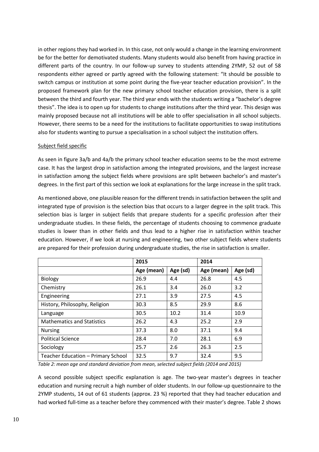in other regions they had worked in. In this case, not only would a change in the learning environment be for the better for demotivated students. Many students would also benefit from having practice in different parts of the country. In our follow-up survey to students attending 2YMP, 52 out of 58 respondents either agreed or partly agreed with the following statement: "It should be possible to switch campus or institution at some point during the five-year teacher education provision". In the proposed framework plan for the new primary school teacher education provision, there is a split between the third and fourth year. The third year ends with the students writing a "bachelor's degree thesis". The idea is to open up for students to change institutions after the third year. This design was mainly proposed because not all institutions will be able to offer specialisation in all school subjects. However, there seems to be a need for the institutions to facilitate opportunities to swap institutions also for students wanting to pursue a specialisation in a school subject the institution offers.

# Subject field specific

As seen in figure 3a/b and 4a/b the primary school teacher education seems to be the most extreme case. It has the largest drop in satisfaction among the integrated provisions, and the largest increase in satisfaction among the subject fields where provisions are split between bachelor's and master's degrees. In the first part of this section we look at explanations for the large increase in the split track.

As mentioned above, one plausible reason for the different trends in satisfaction between the split and integrated type of provision is the selection bias that occurs to a larger degree in the split track. This selection bias is larger in subject fields that prepare students for a specific profession after their undergraduate studies. In these fields, the percentage of students choosing to commence graduate studies is lower than in other fields and thus lead to a higher rise in satisfaction within teacher education. However, if we look at nursing and engineering, two other subject fields where students are prepared for their profession during undergraduate studies, the rise in satisfaction is smaller.

|                                    | 2015       |          | 2014       |          |
|------------------------------------|------------|----------|------------|----------|
|                                    | Age (mean) | Age (sd) | Age (mean) | Age (sd) |
| Biology                            | 26.9       | 4.4      | 26.8       | 4.5      |
| Chemistry                          | 26.1       | 3.4      | 26.0       | 3.2      |
| Engineering                        | 27.1       | 3.9      | 27.5       | 4.5      |
| History, Philosophy, Religion      | 30.3       | 8.5      | 29.9       | 8.6      |
| Language                           | 30.5       | 10.2     | 31.4       | 10.9     |
| <b>Mathematics and Statistics</b>  | 26.2       | 4.3      | 25.2       | 2.9      |
| <b>Nursing</b>                     | 37.3       | 8.0      | 37.1       | 9.4      |
| <b>Political Science</b>           | 28.4       | 7.0      | 28.1       | 6.9      |
| Sociology                          | 25.7       | 2.6      | 26.3       | 2.5      |
| Teacher Education - Primary School | 32.5       | 9.7      | 32.4       | 9.5      |

*Table 2: mean age and standard deviation from mean, selected subject fields (2014 and 2015)*

A second possible subject specific explanation is age. The two-year master's degrees in teacher education and nursing recruit a high number of older students. In our follow-up questionnaire to the 2YMP students, 14 out of 61 students (approx. 23 %) reported that they had teacher education and had worked full-time as a teacher before they commenced with their master's degree. Table 2 shows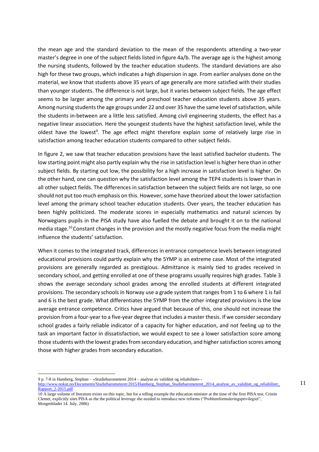the mean age and the standard deviation to the mean of the respondents attending a two-year master's degree in one of the subject fields listed in figure 4a/b. The average age is the highest among the nursing students, followed by the teacher education students. The standard deviations are also high for these two groups, which indicates a high dispersion in age. From earlier analyses done on the material, we know that students above 35 years of age generally are more satisfied with their studies than younger students. The difference is not large, but it varies between subject fields. The age effect seems to be larger among the primary and preschool teacher education students above 35 years. Among nursing students the age groups under 22 and over 35 have the same level of satisfaction, while the students in-between are a little less satisfied. Among civil engineering students, the effect has a negative linear association. Here the youngest students have the highest satisfaction level, while the oldest have the lowest<sup>9</sup>. The age effect might therefore explain some of relatively large rise in satisfaction among teacher education students compared to other subject fields.

In figure 2, we saw that teacher education provisions have the least satisfied bachelor students. The low starting point might also partly explain why the rise in satisfaction level is higher here than in other subject fields. By starting out low, the possibility for a high increase in satisfaction level is higher. On the other hand, one can question why the satisfaction level among the TEP4 students is lower than in all other subject fields. The differences in satisfaction between the subject fields are not large, so one should not put too much emphasis on this. However, some have theorized about the lower satisfaction level among the primary school teacher education students. Over years, the teacher education has been highly politicized. The moderate scores in especially mathematics and natural sciences by Norwegians pupils in the PISA study have also fuelled the debate and brought it on to the national media stage.<sup>10</sup> Constant changes in the provision and the mostly negative focus from the media might influence the students' satisfaction.

When it comes to the integrated track, differences in entrance competence levels between integrated educational provisions could partly explain why the 5YMP is an extreme case. Most of the integrated provisions are generally regarded as prestigious. Admittance is mainly tied to grades received in secondary school, and getting enrolled at one of these programs usually requires high grades. Table 3 shows the average secondary school grades among the enrolled students at different integrated provisions. The secondary schools in Norway use a grade system that ranges from 1 to 6 where 1 is fail and 6 is the best grade. What differentiates the 5YMP from the other integrated provisions is the low average entrance competence. Critics have argued that because of this, one should not increase the provision from a four-year to a five-year degree that includes a master thesis. If we consider secondary school grades a fairly reliable indicator of a capacity for higher education, and not feeling up to the task an important factor in dissatisfaction, we would expect to see a lower satisfaction score among those students with the lowest grades from secondary education, and higher satisfaction scores among those with higher grades from secondary education.

9 p. 7-8 in Hamberg, Stephan – «Studiebarometeret 2014 – analyse av validitet og reliabilitet» -

[http://www.nokut.no/Documents/Studiebarometeret/2015/Hamberg\\_Stephan\\_Studiebarometeret\\_2014\\_analyse\\_av\\_validitet\\_og\\_reliabilitet\\_](http://www.nokut.no/Documents/Studiebarometeret/2015/Hamberg_Stephan_Studiebarometeret_2014_analyse_av_validitet_og_reliabilitet_Rapport_2-2015.pdf) [Rapport\\_2-2015.pdf](http://www.nokut.no/Documents/Studiebarometeret/2015/Hamberg_Stephan_Studiebarometeret_2014_analyse_av_validitet_og_reliabilitet_Rapport_2-2015.pdf)

<sup>10</sup> A large volume of literature exists on this topic, but for a telling example the education minister at the time of the first PISA test, Cristin Clemet, explicitly sites PISA as the the political leverage she needed to introduce new reforms ("Problemformuleringsprivilegiet", Morgenbladet 14. July, 2006)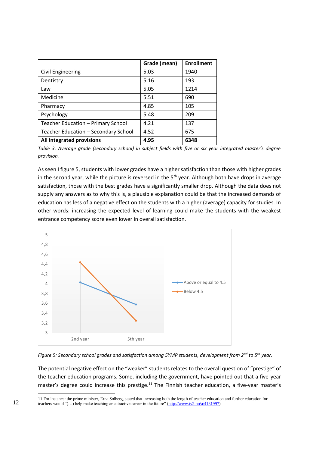|                                      | Grade (mean) | <b>Enrollment</b> |
|--------------------------------------|--------------|-------------------|
| <b>Civil Engineering</b>             | 5.03         | 1940              |
| Dentistry                            | 5.16         | 193               |
| Law                                  | 5.05         | 1214              |
| Medicine                             | 5.51         | 690               |
| Pharmacy                             | 4.85         | 105               |
| Psychology                           | 5.48         | 209               |
| Teacher Education - Primary School   | 4.21         | 137               |
| Teacher Education - Secondary School | 4.52         | 675               |
| All integrated provisions            | 4.95         | 6348              |

*Table 3: Average grade (secondary school) in subject fields with five or six year integrated master's degree provision.*

As seen I figure 5, students with lower grades have a higher satisfaction than those with higher grades in the second year, while the picture is reversed in the  $5<sup>th</sup>$  year. Although both have drops in average satisfaction, those with the best grades have a significantly smaller drop. Although the data does not supply any answers as to why this is, a plausible explanation could be that the increased demands of education has less of a negative effect on the students with a higher (average) capacity for studies. In other words: increasing the expected level of learning could make the students with the weakest entrance competency score even lower in overall satisfaction.



*Figure 5: Secondary school grades and satisfaction among 5YMP students, development from 2nd to 5th year.*

The potential negative effect on the "weaker" students relates to the overall question of "prestige" of the teacher education programs. Some, including the government, have pointed out that a five-year master's degree could increase this prestige.<sup>11</sup> The Finnish teacher education, a five-year master's

<sup>11</sup> For instance: the prime minister, Erna Solberg, stated that increasing both the length of teacher education and further education for teachers would "(…) help make teaching an attractive career in the future" [\(http://www.tv2.no/a/4131997\)](http://www.tv2.no/a/4131997)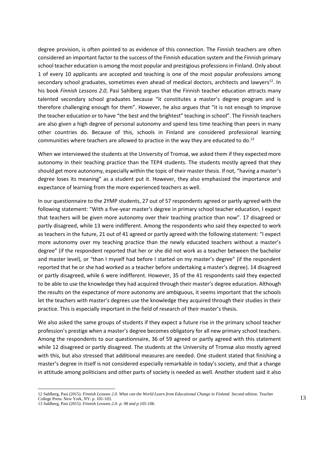degree provision, is often pointed to as evidence of this connection. The Finnish teachers are often considered an important factor to the success of the Finnish education system and the Finnish primary school teacher education is among the most popular and prestigious professions in Finland. Only about 1 of every 10 applicants are accepted and teaching is one of the most popular professions among secondary school graduates, sometimes even ahead of medical doctors, architects and lawyers $^{12}$ . In his book *Finnish Lessons 2.0*, Pasi Sahlberg argues that the Finnish teacher education attracts many talented secondary school graduates because "it constitutes a master's degree program and is therefore challenging enough for them". However, he also argues that "it is not enough to improve the teacher education or to have "the best and the brightest" teaching in school". The Finnish teachers are also given a high degree of personal autonomy and spend less time teaching than peers in many other countries do. Because of this, schools in Finland are considered professional learning communities where teachers are allowed to practice in the way they are educated to do.<sup>13</sup>

When we interviewed the students at the University of Tromsø, we asked them if they expected more autonomy in their teaching practice than the TEP4 students. The students mostly agreed that they should get more autonomy, especially within the topic of their master thesis. If not, "having a master's degree loses its meaning" as a student put it. However, they also emphasized the importance and expectance of learning from the more experienced teachers as well.

In our questionnaire to the 2YMP students, 27 out of 57 respondents agreed or partly agreed with the following statement: "With a five-year master's degree in primary school teacher education, I expect that teachers will be given more autonomy over their teaching practice than now". 17 disagreed or partly disagreed, while 13 were indifferent. Among the respondents who said they expected to work as teachers in the future, 21 out of 41 agreed or partly agreed with the following statement: "I expect more autonomy over my teaching practice than the newly educated teachers without a master's degree" (if the respondent reported that her or she did not work as a teacher between the bachelor and master level), or "than I myself had before I started on my master's degree" (if the respondent reported that he or she had worked as a teacher before undertaking a master's degree). 14 disagreed or partly disagreed, while 6 were indifferent. However, 35 of the 41 respondents said they expected to be able to use the knowledge they had acquired through their master's degree education. Although the results on the expectance of more autonomy are ambiguous, it seems important that the schools let the teachers with master's degrees use the knowledge they acquired through their studies in their practice. This is especially important in the field of research of their master's thesis.

We also asked the same groups of students if they expect a future rise in the primary school teacher profession's prestige when a master's degree becomes obligatory for all new primary school teachers. Among the respondents to our questionnaire, 36 of 59 agreed or partly agreed with this statement while 12 disagreed or partly disagreed. The students at the University of Tromsø also mostly agreed with this, but also stressed that additional measures are needed. One student stated that finishing a master's degree in itself is not considered especially remarkable in today's society, and that a change in attitude among politicians and other parts of society is needed as well. Another student said it also

<sup>12</sup> Sahlberg, Pasi (2015): *Finnish Lessons 2.0*. *What can the World Learn from Educational Change in Finland.* Second edition. Teacher College Press: New York, NY: p. 101-103.

<sup>13</sup> Sahlberg, Pasi (2015): *Finnish Lessons 2.0: p. 98 and p.105-106.*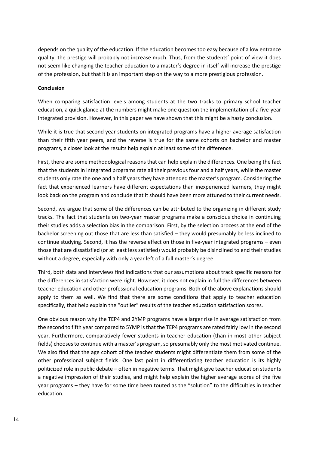depends on the quality of the education. If the education becomes too easy because of a low entrance quality, the prestige will probably not increase much. Thus, from the students' point of view it does not seem like changing the teacher education to a master's degree in itself will increase the prestige of the profession, but that it is an important step on the way to a more prestigious profession.

# **Conclusion**

When comparing satisfaction levels among students at the two tracks to primary school teacher education, a quick glance at the numbers might make one question the implementation of a five-year integrated provision. However, in this paper we have shown that this might be a hasty conclusion.

While it is true that second year students on integrated programs have a higher average satisfaction than their fifth year peers, and the reverse is true for the same cohorts on bachelor and master programs, a closer look at the results help explain at least some of the difference.

First, there are some methodological reasons that can help explain the differences. One being the fact that the students in integrated programs rate all their previous four and a half years, while the master students only rate the one and a half years they have attended the master's program. Considering the fact that experienced learners have different expectations than inexperienced learners, they might look back on the program and conclude that it should have been more attuned to their current needs.

Second, we argue that some of the differences can be attributed to the organizing in different study tracks. The fact that students on two-year master programs make a conscious choice in continuing their studies adds a selection bias in the comparison. First, by the selection process at the end of the bachelor screening out those that are less than satisfied – they would presumably be less inclined to continue studying. Second, it has the reverse effect on those in five-year integrated programs – even those that are dissatisfied (or at least less satisfied) would probably be disinclined to end their studies without a degree, especially with only a year left of a full master's degree.

Third, both data and interviews find indications that our assumptions about track specific reasons for the differences in satisfaction were right. However, it does not explain in full the differences between teacher education and other professional education programs. Both of the above explanations should apply to them as well. We find that there are some conditions that apply to teacher education specifically, that help explain the "outlier" results of the teacher education satisfaction scores.

One obvious reason why the TEP4 and 2YMP programs have a larger rise in average satisfaction from the second to fifth year compared to 5YMP is that the TEP4 programs are rated fairly low in the second year. Furthermore, comparatively fewer students in teacher education (than in most other subject fields) chooses to continue with a master's program, so presumably only the most motivated continue. We also find that the age cohort of the teacher students might differentiate them from some of the other professional subject fields. One last point in differentiating teacher education is its highly politicized role in public debate – often in negative terms. That might give teacher education students a negative impression of their studies, and might help explain the higher average scores of the five year programs – they have for some time been touted as the "solution" to the difficulties in teacher education.